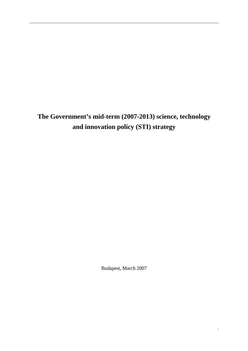**The Government's mid-term (2007-2013) science, technology and innovation policy (STI) strategy** 

Budapest, March 2007

*.*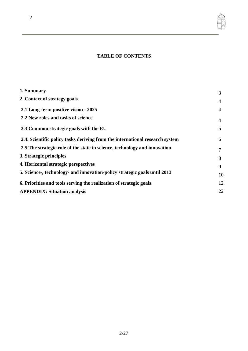# **TABLE OF CONTENTS**

| 1. Summary                                                                   | 3              |
|------------------------------------------------------------------------------|----------------|
| 2. Context of strategy goals                                                 | 4              |
| 2.1 Long-term positive vision - 2025                                         | $\overline{4}$ |
| 2.2 New roles and tasks of science                                           | 4              |
| 2.3 Common strategic goals with the EU                                       | 5              |
| 2.4. Scientific policy tasks deriving from the international research system | 6              |
| 2.5 The strategic role of the state in science, technology and innovation    | 7              |
| 3. Strategic principles                                                      | 8              |
| 4. Horizontal strategic perspectives                                         | 9              |
| 5. Science-, technology- and innovation-policy strategic goals until 2013    | 10             |
| 6. Priorities and tools serving the realization of strategic goals           | 12             |
| <b>APPENDIX: Situation analysis</b>                                          | 22             |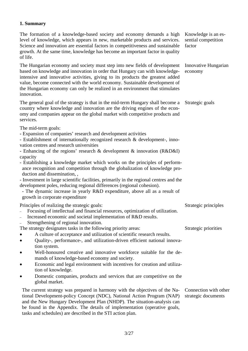## **1. Summary**

The formation of a knowledge-based society and economy demands a high level of knowledge, which appears in new, marketable products and services. Science and innovation are essential factors in competitiveness and sustainable growth. At the same time, knowledge has become an important factor in quality of life. Knowledge is an essential competition factor

The Hungarian economy and society must step into new fields of development based on knowledge and innovation in order that Hungary can with knowledgeintensive and innovative activities, giving to its products the greatest added value, become connected with the world economy. Sustainable development of the Hungarian economy can only be realized in an environment that stimulates innovation. Innovative Hungarian economy

The general goal of the strategy is that in the mid-term Hungary shall become a country where knowledge and innovation are the driving engines of the economy and companies appear on the global market with competitive products and services. Strategic goals

The mid-term goals:

- Expansion of companies' research and development activities
- Establishment of internationally recognized research & development-, inno-

vation centres and research universities

- Enhancing of the regions' research & development & innovation (R&D&I) capacity

- Establishing a knowledge market which works on the principles of performance recognition and competition through the globalization of knowledge production and dissemination, ,
- Investment in large scientific facilities, primarily in the regional centres and the development poles, reducing regional differences (regional cohesion).

- The dynamic increase in yearly R&D expenditure, above all as a result of growth in corporate expenditure

Principles of realizing the strategic goals:

- Focusing of intellectual and financial resources, optimization of utilization.
- Increased economic and societal implementation of R&D results.
- Strengthening of regional innovation.

The strategy designates tasks in the following priority areas:

- A culture of acceptance and utilization of scientific research results.
- Quality-, performance-, and utilization-driven efficient national innovation system.
- Well-honoured creative and innovative workforce suitable for the demands of knowledge-based economy and society.
- Economic and legal environment with incentives for creation and utilization of knowledge.
- Domestic companies, products and services that are competitive on the global market.

The current strategy was prepared in harmony with the objectives of the National Development-policy Concept (NDC), National Action Program (NAP) and the New Hungary Development Plan (NHDP). The situation-analysis can be found in the Appendix. The details of implementation (operative goals, tasks and schedules) are described in the STI action plan. Connection with other strategic documents

Strategic principles

Strategic priorities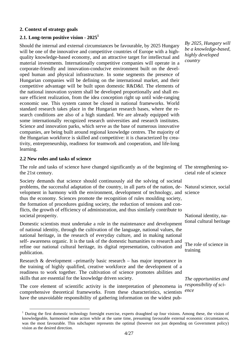#### **2. Context of strategy goals**

## **2.1. Long-term positive vision - 2025<sup>1</sup>**

Should the internal and external circumstances be favourable, by 2025 Hungary will be one of the innovative and competitive countries of Europe with a highquality knowledge-based economy, and an attractive target for intellectual and material investments. Internationally competitive companies will operate in a corporate-friendly and innovation-conducive environment built on the developed human and physical infrastructure. In some segments the presence of Hungarian companies will be defining on the international market, and their competitive advantage will be built upon domestic R&D&I. The elements of the national innovation system shall be developed proportionally and shall ensure efficient realization, from the idea conception right up until wide-ranging economic use. This system cannot be closed in national frameworks. World standard research takes place in the Hungarian research bases, where the research conditions are also of a high standard. We are already equipped with some internationally recognized research universities and research institutes. Science and innovation parks, which serve as the base of numerous innovative companies, are being built around regional knowledge centres. The majority of the Hungarian workforce is skilled and competitive: it is characterized by creativity, entrepreneurship, readiness for teamwork and cooperation, and life-long learning.

#### **2.2 New roles and tasks of science**

The role and tasks of science have changed significantly as of the beginning of The strengthening sothe 21st century. cietal role of science

Society demands that science should continuously aid the solving of societal problems, the successful adaptation of the country, in all parts of the nation, de-Natural science, social velopment in harmony with the environment, development of technology, and science thus the economy. Sciences promote the recognition of rules moulding society, the formation of procedures guiding society, the reduction of tensions and conflicts, the growth of efficiency of administration, and thus similarly contribute to societal prosperity.

Domestic scientists must undertake a role in the maintenance and development of national identity, through the cultivation of the language, national values, the national heritage, in the research of everyday culture, and in making national self- awareness organic. It is the task of the domestic humanities to research and refine our national cultural heritage, its digital representation, cultivation and publication.

Research & development –primarily basic research – has major importance in the training of highly qualified, creative workforce and the development of a readiness to work together. The cultivation of science promotes abilities and skills that are essential for the knowledge driven society.

The core element of scientific activity is the interpretation of phenomena in comprehensive theoretical frameworks. From these characteristics, scientists have the unavoidable responsibility of gathering information on the widest pub-

*By 2025, Hungary will be a knowledge-based, highly developed country* 

*The opportunities and responsibility of science* 

National identity, national cultural heritage

The role of science in

training

<sup>&</sup>lt;sup>1</sup> During the first domestic technology foresight exercise, experts draughted up four visions. Among these, the vision of knowledgeable, harmonised state action while at the same time, presuming favourable external economic circumstances, was the most favourable. This subchapter represents the optimal (however not just depending on Government policy) vision as the desired direction.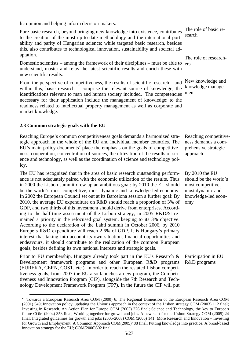lic opinion and helping inform decision-makers.

Pure basic research, beyond bringing new knowledge into existence, contributes to the creation of the most up-to-date methodology and the international portability and parity of Hungarian science; while targeted basic research, besides this, also contributes to technological innovation, sustainability and societal adaptation.

Domestic scientists – among the framework of their disciplines – must be able to ers understand, master and relay the latest scientific results and enrich these with new scientific results.

From the perspective of competitiveness, the results of scientific research – and within this, basic research – comprise the relevant source of knowledge, the identifications relevant to man and human society included. The competencies necessary for their application include the management of knowledge: to the readiness related to intellectual property management as well as corporate and market knowledge.

## **2.3 Common strategic goals with the EU**

Reaching Europe's common competitiveness goals demands a harmonized strategic approach in the whole of the EU and individual member countries. The  $EU$ 's main policy documents<sup>2</sup> place the emphasis on the goals of competitiveness, cooperation, concentration of sources, the utilization of the results of science and technology, as well as the coordination of science and technology policy.

The EU has recognized that in the area of basic research outstanding performance is not adequately paired with the economic utilization of the results. Thus in 2000 the Lisbon summit drew up an ambitious goal: by 2010 the EU should be the world's most competitive, most dynamic and knowledge-led economy. In 2002 the European Council set out at its Barcelona session a further goal: By 2010, the average EU expenditure on R&D should reach a proportion of 3% of GDP, and two thirds of this investment should derive from enterprises. According to the half-time assessment of the Lisbon strategy, in 2005 R&D&I remained a priority in the refocused goal system, keeping to its 3% objective. According to the declaration of the Lahti summit in October 2006, by 2010 Europe's R&D expenditure will reach 2.6% of GDP. It is Hungary's primary interest that taking into account its own situation, financial opportunities and endeavours, it should contribute to the realization of the common European goals, besides defining its own national interests and strategic goals.

Prior to EU membership, Hungary already took part in the EU's Research & Development framework programs and other European R&D programs (EUREKA, CERN, COST, etc.). In order to reach the restated Lisbon competitiveness goals, from 2007 the EU also launches a new program, the Competitiveness and Innovation Program (CIP), alongside the 7th Research and Technology Development Framework Program (FP7). In the future the CIP will put

The role of basic research

The role of research-

New knowledge and knowledge management

Reaching competitiveness demands a comprehensive strategic approach

By 2010 the EU should be the world's most competitive, most dynamic and knowledge-led economy

Participation in EU R&D programs

<sup>&</sup>lt;sup>2</sup> Towards a European Research Area COM (2000) 6; The Regional Dimension of the European Research Area COM (2001) 549; Innovation policy, updating the Union's approach in the context of the Lisbon strategy COM (2003) 112 final; Investing in Research. An Action Plan for Europe COM (2003) 226 final; Science and Technology, the key to Europe's future COM (2004) 353 final; Working together for growth and jobs. A new start for the Lisbon Strategy COM (2005) 24 final; Integrated guidelines for growth and jobs (2005-2008) COM (2005) 141; More Research and Innovation – Investing for Growth and Employment: A Common Approach COM(2005)488 final; Putting knowledge into practice: A broad-based innovation strategy for the EU; COM(2006)502 final.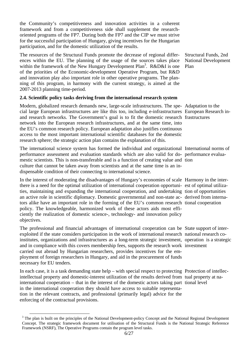the Community's competitiveness and innovation activities in a coherent framework and from a competitiveness side shall supplement the researchoriented programs of the FP7. During both the FP7 and the CIP we must strive for the successful participation of Hungary, giving incentives for the Hungarian participation, and for the domestic utilization of the results.

The resources of the Structural Funds promote the decrease of regional differences within the EU. The planning of the usage of the sources takes place within the framework of the New Hungary Development Plan<sup>3</sup>. R&D&I is one of the priorities of the Economic-development Operative Program, but R&D and innovation play also important role in other operative programs. The planning of this program, in harmony with the current strategy, is aimed at the 2007-2013 planning time-period.

#### **2.4. Scientific policy tasks deriving from the international research system**

Modern, globalized research demands new, large-scale infrastructures. The spe-Adaptation to the cial large European infrastructures are like this too, including e-infrastructures European Research inand research networks. The Government's goal is to fit the domestic research frastructures network into the European research infrastructures, and at the same time, into the EU's common research policy. European adaptation also justifies continuous access to the most important international scientific databases for the domestic research sphere; the strategic action plan contains the explanation of this.

The international science system has formed the individual and organizational International norms of performance assessment and evaluation standards which are also valid for do-performance evaluamestic scientists. This is non-transferable and is a function of creating value and tion culture that cannot be taken away from scientists and at the same time is an indispensable condition of their connecting to international science.

In the interest of moderating the disadvantages of Hungary's economies of scale Harmony in the interthere is a need for the optimal utilization of international cooperation opportuni-est of optimal utilizaties, maintaining and expanding the international cooperation, and undertaking tion of opportunities an active role in scientific diplomacy. Domestic governmental and non-state ac-derived from internators alike have an important role in the forming of the EU's common research tional cooperation policy. The knowledgeable, harmonized work of these actors aids most efficiently the realization of domestic science-, technology- and innovation policy objectives.

The professional and financial advantages of international cooperation can be State support of interexploited if the state considers participation in the work of international research national research coinstitutes, organizations and infrastructures as a long-term strategic investment, operation is a strategic and in compliance with this covers membership fees, supports the research work investment carried out abroad by Hungarian researchers, provides incentives for the employment of foreign researchers in Hungary, and aid in the procurement of funds necessary for EU tenders.

In each case, it is a task demanding state help – with special respect to protecting Protection of intellecintellectual property and domestic-interest utilization of the results derived from tual property at nainternational cooperation – that in the interest of the domestic actors taking part tional level in the international cooperation they should have access to suitable representation in the relevant contracts, and professional (primarily legal) advice for the enforcing of the contractual provisions.

Structural Funds, 2nd National Development Plan

<sup>&</sup>lt;sup>3</sup> The plan is built on the principles of the National Development-policy Concept and the National Regional Development Concept. The strategic framework document for utilisation of the Structural Funds is the National Strategic Reference Framework (NSRF), The Operative Programs contain the program level tasks.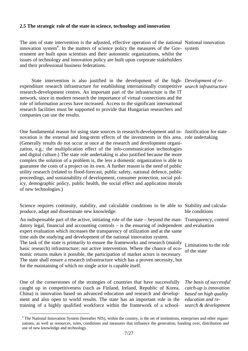#### **2.5 The strategic role of the state in science, technology and innovation**

The aim of state intervention is the adjusted, effective operation of the national National innovation innovation system<sup>4</sup>. In the matters of science policy the measures of the Gov- system ernment are built upon scientists and their autonomic organizations, whilst the issues of technology and innovation policy are built upon corporate stakeholders and their professional business federations.

State intervention is also justified in the development of the high-*Development of re*expenditure research infrastructure for establishing internationally competitive *search infrastructure*  research-development centres. An important part of the infrastructure is the IT network, since in modern research the importance of virtual connections and the role of information access have increased. Access to the significant international research facilities must be supported to provide that Hungarian researchers and companies can use the results.

One fundamental reason for using state sources in research-development and in-Justification for state novation is the external and long-term effects of the investments in this area. role undertaking (Generally results do not occur at once at the research and development organization, e.g.: the multiplication effect of the info-communication technologies and digital culture.) The state role undertaking is also justified because the more complex the solution of a problem is, the less a domestic organization is able to guarantee the costs of a project on its own. A further reason is the need of public utility research (related to flood-forecast, public safety, national defence, public proceedings, and sustainability of development, consumer protection, social policy, demographic policy, public health, the social effect and application morals of new technologies.)

Science requires continuity, stability, and calculable conditions to be able to Stability and calculaproduce, adapt and disseminate new knowledge.

An indispensable part of the active, initiating role of the state – beyond the man-Transparency, control datory legal, financial and accounting controls – is the ensuring of independent and evaluation expert evaluation which increases the transparency of utilization and at the same time aids the studying and development of the national innovation system.

The task of the state is primarily to ensure the frameworks and research (mainly basic research) infrastructure; not active intervention. Where the chance of economic returns makes it possible, the participation of market actors is necessary. The state shall ensure a research infrastructure which has a proven necessity, but for the maintaining of which no single actor is capable itself.

One of the cornerstones of the strategies of countries that have successfully caught up in competitiveness (such as Finland, Ireland, Republic of Korea, China) is innovation based on advanced education and research and development and also open to world results. The state has an important role in the training of a highly qualified workforce within the framework of a school*The basis of successful catch-up is innovation based on high quality education and research & development*

ble conditions

Limitations to the role of the state

<sup>&</sup>lt;sup>4</sup> The National Innovation System (hereafter NIS), within the country, is the set of institutions, enterprises and other organizations, as well as resources, rules, conditions and measures that influence the generation, handing over, distribution and use of new knowledge and technology.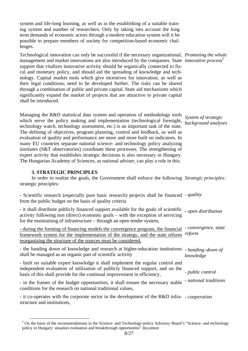system and life-long learning, as well as in the establishing of a suitable training system and number of researchers. Only by taking into account the long term demands of economic actors through a modern education system will it be possible to prepare members of society for competition-based economic challenges.

Technological innovation can only be successful if the necessary organizational, *Promoting the whole*  management and market innovations are also introduced by the companies. State *innovative process5* support that vitalizes innovative activity should be organically connected to fiscal and monetary policy, and should aid the spreading of knowledge and technology. Capital market tools which give incentives for innovation, as well as their legal conditions, need to be developed further. The risks can be shared through a combination of public and private capital. State aid mechanisms which significantly expand the market of projects that are attractive to private capital shall be introduced.

Managing the R&D statistical data system and operation of methodology tools which serve the policy making and implementation (technological foresight, technology watch, technology assessment, etc.) is an important task of the state. The defining of objectives, program planning, control and feedback, as well as evaluation of quality and performance are more and more built on indicators. In many EU countries separate national science- and technology policy analyzing institutes (S&T observatories) coordinate these processes. The strengthening of expert activity that establishes strategic decisions is also necessary in Hungary. The Hungarian Academy of Sciences, as national adviser, can play a role in this.

#### **3. STRATEGIC PRINCIPLES**

In order to realize the goals, the Government shall enforce the following *Strategic principles:*  strategic principles:

| - Scientific research (especially pure basic research) projects shall be financed - quality<br>from the public budget on the basis of quality criteria                                                                                                                  |                                |
|-------------------------------------------------------------------------------------------------------------------------------------------------------------------------------------------------------------------------------------------------------------------------|--------------------------------|
| - it shall distribute publicly financed support available for the goals of scientific - open distribution<br>activity following non (direct) economic goals – with the exception of servicing<br>for the maintaining of infrastructure – through an open tender system, |                                |
| - during the forming of financing models the convergence program, the financial<br>framework system for the implementation of the strategy, and the state reform<br>reorganizing the structure of the sources must be considered.                                       | - convergence, state<br>reform |
| - the handing down of knowledge and research at higher-education institutions<br>shall be managed as an organic part of scientific activity                                                                                                                             | - handing-down of<br>knowledge |
| - built on suitable expert knowledge it shall implement the regular control and<br>independent evaluation of utilization of publicly financed support, and on the<br>basis of this shall provide for the continual improvement in efficiency,                           | - public control               |
| - in the frames of the budget opportunities, it shall ensure the necessary stable<br>conditions for the research on national traditional values,                                                                                                                        | - national traditions          |
| - it co-operates with the corporate sector in the development of the R&D infra- - cooperation<br>structure and institutions,                                                                                                                                            |                                |

<sup>&</sup>lt;sup>5</sup> On the basis of the recommendations in the Science- and Technology-policy Advisory Board's "Science- and technology policy in Hungary: situation evaluation and breakthrough opportunties" document

*System of strategic background analyses*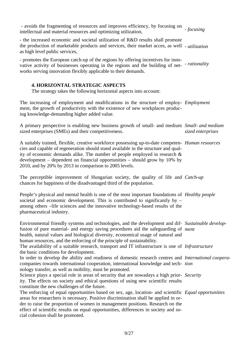| - avoids the fragmenting of resources and improves efficiency, by focusing on<br>intellectual and material resources and optimizing utilization,                                                                                                                                                                                                                                                                   | - focusing        |
|--------------------------------------------------------------------------------------------------------------------------------------------------------------------------------------------------------------------------------------------------------------------------------------------------------------------------------------------------------------------------------------------------------------------|-------------------|
| - the increased economic and societal utilization of R&D results shall promote<br>the production of marketable products and services, their market acces, as well - utilization<br>as high level public services,                                                                                                                                                                                                  |                   |
| - promotes the European catch-up of the regions by offering incentives for inno-<br>vative activity of businesses operating in the regions and the building of net-<br>works serving innovation flexibly applicable to their demands.                                                                                                                                                                              | - rationality     |
| <b>4. HORIZONTAL STRATEGIC ASPECTS</b><br>The strategy takes the following horizontal aspects into account:                                                                                                                                                                                                                                                                                                        |                   |
| The increasing of employment and modifications in the structure of employ- <i>Employment</i><br>ment, the growth of productivity with the existence of new workplaces produc-<br>ing knowledge-demanding higher added value.                                                                                                                                                                                       |                   |
| A primary perspective is enabling new business growth of small- and medium Small- and medium<br>sized enterprises (SMEs) and their competitiveness.                                                                                                                                                                                                                                                                | sized enterprises |
| A suitably trained, flexible, creative workforce possessing up-to-date competen- Human resources<br>cies and capable of regeneration should stand available in the structure and qual-<br>ity of economic demands alike. The number of people employed in research $\&$<br>development – dependent on financial opportunities – should grow by $10\%$ by<br>2010, and by 20% by 2013 in comparison to 2005 levels. |                   |
| The perceptible improvement of Hungarian society, the quality of life and <i>Catch-up</i><br>chances for happiness of the disadvantaged third of the population.                                                                                                                                                                                                                                                   |                   |
| People's physical and mental health is one of the most important foundations of <i>Healthy people</i><br>societal and economic development. This is contributed to significantly by -<br>among others –life sciences and the innovative technology-based results of the<br>pharmaceutical industry.                                                                                                                |                   |
| Environmental friendly systems and technologies, and the development and dif- Sustainable develop-<br>fusion of pure material- and energy saving procedures aid the safeguarding of ment<br>health, natural values and biological diversity, economical usage of natural and<br>human resources, and the enforcing of the principle of sustainability.                                                             |                   |
| The availability of a suitable research, transport and IT infrastructure is one of <i>Infrastructure</i>                                                                                                                                                                                                                                                                                                           |                   |
| the basic conditions for development.<br>In order to develop the ability and readiness of domestic research centres and <i>International coopera-</i><br>companies towards international cooperation, international knowledge and tech- tion<br>nology transfer, as well as mobility, must be promoted.                                                                                                            |                   |
| Science plays a special role in areas of security that are nowadays a high prior- Security<br>ity. The effects on society and ethical questions of using new scientific results<br>constitute the new challenges of the future.                                                                                                                                                                                    |                   |
| The enforcing of equal opportunities based on sex, age, location- and scientific Equal opportunities<br>areas for researchers is necessary. Positive discrimination shall be applied in or-<br>der to raise the proportion of women in management positions. Research on the<br>effect of scientific results on equal opportunities, differences in society and so-<br>cial cohesion shall be promoted.            |                   |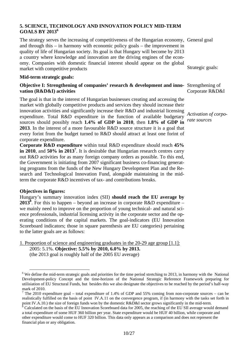#### **5. SCIENCE, TECHNOLOGY AND INNOVATION POLICY MID-TERM GOALS BY 20136**

The strategy serves the increasing of competitiveness of the Hungarian economy, General goal and through this – in harmony with economic policy goals – the improvement in quality of life of Hungarian society. Its goal is that Hungary will become by 2013 a country where knowledge and innovation are the driving engines of the economy. Companies with domestic financial interest should appear on the global market with competitive products Strategic goals:

#### **Mid-term strategic goals:**

#### **Objective I: Strengthening of companies' research & development and inno-** Strengthening of **vation (R&D&I) activities**

The goal is that in the interest of Hungarian businesses creating and accessing the market with globally competitive products and services they should increase their innovation activities and significantly increase their R&D and industrial licensing expenditure. Total R&D expenditure in the function of available budgetary sources should possibly reach **1.4% of GDP in 2010**, then **1.8% of GDP in**  *rate sources*  **2013**. In the interest of a more favourable R&D source structure it is a goal that every forint from the budget turned to R&D should attract at least one forint of corporate expenditure.

**Corporate R&D expenditure** within total R&D expenditure should reach **45% in 2010**, and **50% in 2013<sup>7</sup>** . It is desirable that Hungarian research centres carry out R&D activities for as many foreign company orders as possible. To this end, the Government is initiating from 2007 significant business co-financing generating programs from the funds of the New Hungary Development Plan and the Research and Technological Innovation Fund, alongside maintaining in the midterm the corporate R&D incentives of tax- and contributions breaks.

#### **Objectives in figures:**

Hungary's summary innovation index (SII) **should reach the EU average by 2013**<sup>8</sup>. For this to happen – beyond an increase in corporate R&D expenditure – we mainly need to improve on the proportion of young technical- and natural science professionals, industrial licensing activity in the corporate sector and the operating conditions of the capital markets. The goal-indicators (EU Innovation Scoreboard indicators; those in square parenthesis are EU categories) pertaining to the latter goals are as follows:

1. Proportion of science and engineering graduates in the 20-29 age group [1.1]: 2005: 5.1%. **Objective: 5.5% by 2010, 6.0% by 2013.**  (the 2013 goal is roughly half of the 2005 EU average)

Corporate R&D&I

*Activation of corpo-*

<sup>&</sup>lt;sup>6</sup> We define the mid-term strategic goals and priorities for the time period stretching to 2013, in harmony with the National Development-policy Concept and the time-horizon of the National Strategic Reference Framework preparing for utilisiation of EU Structural Funds, but besides this we also designate the objectives to be reached by the period's half-way mark of 2010.

<sup>&</sup>lt;sup>7</sup> The 2010 expenditure goal – total expenditure of 1.4% of GDP and 55% coming from non-corporate sources – can be realistically fulfilled on the basis of point IV.A.11 on the convergence program, if (in harmony with the tasks set forth in point IV.A.10.) the size of foreign funds won by the domestic R&D&I sector grows significantly in the mid-term.

<sup>8</sup> Calculated on the basis of the EU Innovation Scoreboard data for 2005, the reaching of the EU SII average would demand a total expenditure of some HUF 360 billion per year. State expenditure would be HUF 40 billion, while corporate and other expenditure would come to HUF 320 billion. This data only appears as a comparison and does not represent the financial plan or any obligation.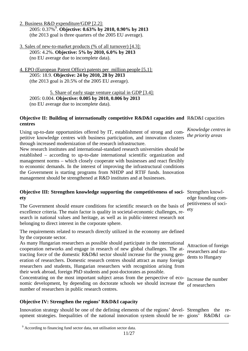11/27

# **Objective IV: Strengthen the regions' R&D&I capacity**

Innovation strategy should be one of the defining elements of the regions' devel-Strengthen the reopment strategies. Inequalities of the national innovation system should be re-gions' R&D&I ca-

Attraction of foreign researchers and stu-

dents to Hungary

**Objective III: Strengthen knowledge supporting the competitiveness of soci-**Strengthen knowledge founding competitiveness of society

**Objective II: Building of internationally competitive R&D&I capacities and R&D&I capacities** *Knowledge centres in the priority areas* 

- 3. Sales of new-to-market products (% of all turnover) [4.3]: 2005: 4.2%. **Objective: 5% by 2010, 6.0% by 2013**  (no EU average due to incomplete data).
- 4. EPO (European Patent Office) patents per million people [5.1]: 2005: 18.9. **Objective: 24 by 2010, 28 by 2013**  (the 2013 goal is 20.5% of the 2005 EU average).

5. Share of early stage venture capital in GDP [3.4]: 2005: 0.004. **Objective: 0.005 by 2010, 0.006 by 2013**  (no EU average due to incomplete data).

2. Business R&D expenditure/GDP [2.2]: 2005: 0.37%9 . **Objective: 0.63% by 2010, 0.90% by 2013** 

(the 2013 goal is three quarters of the 2005 EU average).

**centres** 

**ety** 

Using up-to-date opportunities offered by IT, establishment of strong and competitive knowledge centres with business participation, and innovation clusters through increased modernization of the research infrastructure. New research institutes and international-standard research universities should be

# The Government should ensure conditions for scientific research on the basis of excellence criteria. The main factor is quality in societal-economic challenges, research in national values and heritage, as well as in public-interest research not belonging to direct interest in the corporate sphere.

The requirements related to research directly utilized in the economy are defined by the corporate sector.

established – according to up-to-date international scientific organization and management norms – which closely cooperate with businesses and react flexibly to economic demands. In the interest of improving the infrastructural conditions the Government is starting programs from NHDP and RTIF funds. Innovation

management should be strengthened at R&D institutes and at businesses.

As many Hungarian researchers as possible should participate in the international cooperation networks and engage in research of new global challenges. The attracting force of the domestic R&D&I sector should increase for the young generation of researchers. Domestic research centres should attract as many foreign researchers and students, Hungarian researchers with recognition arising from their work abroad, foreign PhD students and post-doctorates as possible.

Concentrating on the most important subject areas from the perspective of economic development, by depending on doctorate schools we should increase the of researchers number of researchers in public research centres. Increase the number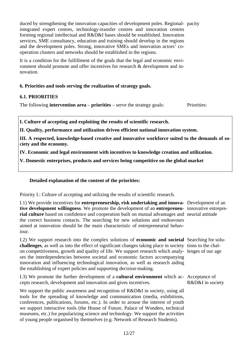duced by strengthening the innovation capacities of development poles. Regional-pacity integrated expert centres, technology-transfer centres and innovation centres forming regional intellectual and R&D&I bases should be established. Innovation services, SME consultancy, education and training should develop in the regions and the development poles. Strong, innovative SMEs and innovation actors' cooperation clusters and networks should be established in the regions.

It is a condition for the fulfillment of the goals that the legal and economic environment should promote and offer incentives for research & development and innovation.

#### **6. Priorities and tools serving the realization of strategy goals.**

#### **6.1. PRIORITIES**

The following **intervention area** – **priorities** – serve the strategy goals: Priorities:

**I. Culture of accepting and exploiting the results of scientific research.** 

**II. Quality, performance and utilization driven efficient national innovation system.** 

**III. A respected, knowledge-based creative and innovative workforce suited to the demands of society and the economy.** 

**IV. Economic and legal environment with incentives to knowledge creation and utilization.** 

**V. Domestic enterprises, products and services being competitive on the global market** 

## **Detailed explanation of the content of the priorities:**

Priority I.: Culture of accepting and utilizing the results of scientific research.

I.1) We provide incentives for **entrepreneurship, risk undertaking and innova-**Development of an **tive development willingness**. We promote the development of an **entrepreneu-**innovative entreprerial culture based on confidence and cooperation built on mutual advantages and neurial attitude the correct business contacts. The searching for new solutions and endeavours aimed at innovation should be the main characteristic of entrepreneurial behaviour.

I.2) We support research into the complex solutions of **economic and societal**  Searching for solu**challenges**, as well as into the effect of significant changes taking place in society tions to the chalon competitiveness, growth and quality of life. We support research which analy-lenges of our age ses the interdependencies between societal and economic factors accompanying innovation and influencing technological innovation, as well as research aiding the establishing of expert policies and supporting decision-making.

I.3) We promote the further development of a **cultural environment** which ac-Acceptance of cepts research, development and innovation and gives incentives.

We support the public awareness and recognition of R&D&I in society, using all tools for the spreading of knowledge and communication (media, exhibitions, conferences, publications, forums, etc.). In order to arouse the interest of youth we support interactive tools (the House of Future, Palace of Wonders, technical museums, etc.) for popularizing science and technology. We support the activities of young people organised by themselves (e.g. Network of Research Students).

R&D&I in society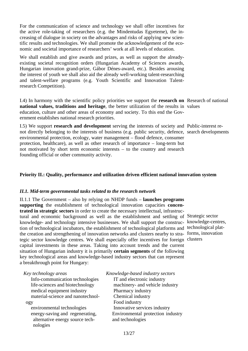For the communication of science and technology we shall offer incentives for the active role-taking of researchers (e.g. the Mindentudas Egyeteme), the increasing of dialogue in society on the advantages and risks of applying new scientific results and technologies. We shall promote the acknowledgement of the economic and societal importance of researchers' work at all levels of education.

We shall establish and give awards and prizes, as well as support the alreadyexisting societal recognition orders (Hungarian Academy of Sciences awards, Hungarian innovation grand-prize, Gábor Dénes-award, etc.). Besides arousing the interest of youth we shall also aid the already well-working talent-researching and talent-welfare programs (e.g. Youth Scientific and Innovation Talentresearch Competition).

I.4) In harmony with the scientific policy priorities we support the **research on**  Research of national **national values, traditions and heritage**, the better utilization of the results in values education, culture and other areas of economy and society. To this end the Government establishes national research priorities.

I.5) We support **research and development** serving the interests of society and Public-interest renot directly belonging to the interests of business (e.g. public security, defence, search developments environmental protection, ecology, water management – flood defence, consumer protection, healthcare), as well as other research of importance – long-term but not motivated by short term economic interests – to the country and research founding official or other community activity.

## **Priority II.: Quality, performance and utilization driven efficient national innovation system**

#### *II.1. Mid-term governmental tasks related to the research network*

II.1.1 The Government – also by relying on NHDP funds – **launches programs supporting** the establishment of technological innovation capacities **concentrated in strategic sectors** in order to create the necessary intellectual, infrastructural and economic background as well as the establishment and settling of Strategic sector knowledge- and technology intensive businesses. We shall support the construc-knowledge-centres, tion of technological incubators, the establishment of technological platforms and technological platthe creation and strengthening of innovation networks and clusters nearby to stra-forms, innovation tegic sector knowledge centres. We shall especially offer incentives for foreign clusters capital investments in these areas. Taking into account trends and the current situation of Hungarian industry it is primarily **certain segments** of the following key technological areas and knowledge-based industry sectors that can represent a breakthrough point for Hungary:

| Knowledge-based industry sectors  |
|-----------------------------------|
| IT and electronic industry        |
| machinery- and vehicle industry   |
| Pharmacy industry                 |
| Chemical industry                 |
| Food industry                     |
| Innovative services industry      |
| Environmental protection industry |
| and technologies                  |
|                                   |

13/27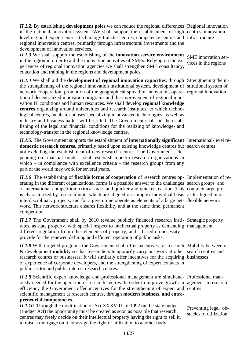*II.1.2.* By establishing **development poles** we can reduce the regional differences Regional innovation in the national innovation system. We shall support the establishment of high centres, innovation level regional expert centres, technology-transfer centres, competence centres and infrastructure regional innovation centres, primarily through infrastructural investments and the development of innovation services.

*II.1.3* We shall support the establishing of the **innovation service environment** in the region in order to aid the innovation activities of SMEs. Relying on the experiences of regional innovation agencies we shall strengthen SME consultancy, education and training in the regions and development poles.

*II.1.4* We shall aid the **development of regional innovation capacities**: through Strengthening the inthe strengthening of the regional innovation institutional system, development of stitutional system of network cooperation, promotion of the geographical spread of innovation, opera-regional innovation tion of decentralized innovation programs and the improvement of regional innovation IT conditions and human resources. We shall develop **regional knowledge centres** organizing around universities and research institutes, to which technological centres, incubator houses specializing in advanced technologies, as well as industry and business parks, will be fitted. The Government shall aid the establishing of the legal and financial conditions for the realizing of knowledge- and technology-transfer in the regional knowledge centres.

*II.1.5.* The Government supports the establishment of **internationally significant**  International-level redomestic research centres, primarily based upon existing knowledge centres but search centres not excluding the establishment of new research centres. The Government – depending on financial funds – shall establish modern research organizations in which – in compliance with excellence criteria – the research groups from any part of the world may work for several years.

*II.1.6* The establishing of **flexible forms of cooperation** of research centres op-Implementation of reerating in the different organizational forms is a possible answer to the challenges search groups and of international competition, critical mass and quicker and quicker reaction. This complex large prois characterized by research units which are aligned on complex individual-basis jects aligned into a interdisciplinary projects, and for a given time operate as elements of a large net-flexible network work. This network structure ensures flexibility and at the same time, permanent competition.

II.1.7 The Government shall by 2010 revalue publicly financed research insti- Strategic property tutes, as state property, with special respect to intellectual property as demanding management different regulation from other elements of property, and – based on necessity – provide for the renewed defining and efficient operation of public tasks.

II.1.8 With targeted programs the Government shall offer incentives for research Mobility between re-& development **mobility** so that researchers temporarily carry out work at other search centres and research centres or businesses. It will similarly offer incentives for the acquiring businesses of experience of corporate developers, and the strengthening of expert contacts in public sector and public interest research centres.

II.1.9 Scientific expert knowledge and professional management are simultane- Professional manously needed for the operation of research centres. In order to improve growth in agement in research efficiency the Government offer incentives for the strengthening of expert and centres scientific management at research centres, through **modern business, and entrepreneurial competencies**.

*II.1.10.* Through the modification of Act XXXVIII. of 1992 on the state budget (Budget Act) the opportunity must be created as soon as possible that research centres may freely decide on their intellectual property having the right to sell it, to raise a mortgage on it, or assign the right of utilization to another body.

SME innovation services in the regions

Preventing legal obstacles of utilization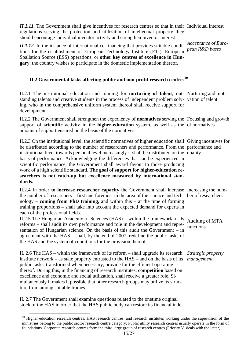II.1.11. The Government shall give incentives for research centres so that in their Individual interest regulations serving the protection and utilization of intellectual property they should encourage individual inventor activity and strengthen inventor interest.

*II.1.12.* In the instance of international co-financing that provides suitable condi-<br> tions for the establishment of European Technology Institute (ETI), European *pean R&D bases*  Spallation Source (ESS) operations, or **other key centres of excellence in Hungary**, the country wishes to participate in the domestic implementation thereof.

# II.2 Governmental tasks affecting public and non-profit research centres<sup>10</sup>

II.2.1 The institutional education and training for **nurturing of talent**; out-Nurturing and motistanding talents and creative students in the process of independent problem solv-vation of talent ing, who in the comprehensive uniform system thereof shall receive support for development.

II.2.2 The Government shall strengthen the expediency of **normatives** serving the Focusing and growth support of **scientific** activity in the **higher-education** system, as well as the of normatives amount of support ensured on the basis of the normatives.

II.2.3 On the institutional level, the scientific normatives of higher education shall Giving incentives for be distributed according to the number of researchers and performance. From the performance and institutional level towards personal level increasingly it shall be distributed on the quality basis of performance. Acknowledging the differences that can be experienced in scientific performance, the Government shall award favour to those producing work of a high scientific standard. **The goal of support for higher-education researchers is not catch-up but excellence measured by international standards.** 

II.2.4 In order to increase researcher capacity the Government shall increase Increasing the numthe number of researchers – first and foremost in the area of the science and tech-ber of researchers nology – **coming from PhD training**, and within this – at the time of forming training proportions – shall take into account the expected demand for experts in each of the professional fields.

II.2.5 The Hungarian Academy of Sciences (HAS) – within the framework of its Auditing of MTA reforms – shall audit its own performance and role in the development and repre-functions sentation of Hungarian science. On the basis of this audit the Government – in agreement with the HAS – shall, by the end of 2007, redefine the public tasks of the HAS and the system of conditions for the provision thereof.

II. 2.6 The HAS – within the framework of its reform – shall upgrade its research *Strategic property*  institute network – as state property entrusted to the HAS – and on the basis of its *management*  public tasks, transformed when necessary, provide for the efficient operating thereof. During this, in the financing of research institutes, **competition** based on excellence and economic and social utilization, shall receive a greater role. Simultaneously it makes it possible that other research groups may utilize its structure from among suitable frames.

II. 2.7 The Government shall examine questions related to the onetime original stock of the HAS in order that the HAS public body can restore its financial inde-

 $10$  Higher education research centres, HAS research centres, and research institutes working under the supervision of the ministries belong to the public sector research centre category. Public utility research centres usually operate in the form of foundations. Corporate research centres form the third large group of research centres (Priority V. deals with the latter).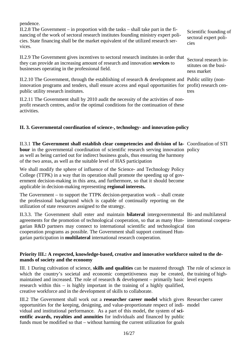pendence.

II.2.8 The Government – in proportion with the tasks – shall take part in the financing of the work of sectoral research institutes founding ministry expert policies. State financing shall be the market equivalent of the utilized research services.

II.2.9 The Government gives incentives to sectoral research institutes in order that they can provide an increasing amount of research and innovation **services** to businesses operating in the professional field.

II.2.10 The Government, through the establishing of research & development and Public utility (noninnovation programs and tenders, shall ensure access and equal opportunities for profit) research cenpublic utility research institutes.

II.2.11 The Government shall by 2010 audit the necessity of the activities of nonprofit research centres, and/or the optimal conditions for the continuation of these activities.

## **II. 3. Governmental coordination of science-, technology- and innovation-policy**

II.3.1 **The Government shall establish clear competencies and division of la-**Coordination of STI bour in the governmental coordination of scientific research serving innovation policy as well as being carried out for indirect business goals, thus ensuring the harmony of the two areas, as well as the suitable level of HAS participation

We shall modify the sphere of influence of the Science- and Technology Policy College (TTPK) in a way that its operation shall promote the speeding up of government decision-making in this area, and furthermore, so that it should become applicable in decision-making representing **regional interests.** 

The Government – to support the TTPK decision-preparation work – shall create the professional background which is capable of continually reporting on the utilization of state resources assigned to the strategy.

II.3.3. The Government shall enter and maintain **bilateral** intergovernmental Bi- and multilateral agreements for the promotion of technological cooperation, so that as many Hun-international cooperagarian R&D partners may connect to international scientific and technological tion cooperation programs as possible. The Government shall support continued Hungarian participation in **multilateral** international research cooperation.

## **Priority III.: A respected, knowledge-based, creative and innovative workforce suited to the demands of society and the economy**

III. 1 During cultivation of science, **skills and qualities** can be mastered through The role of science in which the country's societal and economic competitiveness may be created, the training of highmaintained and increased. The role of research  $\&$  development – primarily basic level experts research within this – is highly important in the training of a highly qualified, creative workforce and in the development of skills to collaborate.

III.2 The Government shall work out a **researcher career model** which gives Researcher career opportunities for the keeping, designing, and value-proportionate respect of indi-model vidual and institutional performance. As a part of this model, the system of **scientific awards, royalties and annuities** for individuals and financed by public funds must be modified so that – without harming the current utilization for goals

Sectoral research institutes on the business market

tres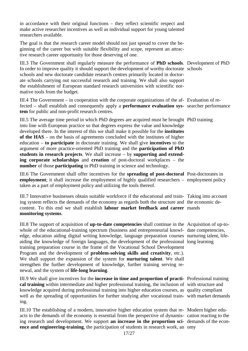in accordance with their original functions – they reflect scientific respect and make active researcher incentives as well as individual support for young talented researchers available.

The goal is that the research career model should not just spread to cover the beginning of the career but with suitable flexibility and scope, represent an attractive research career opportunity for those deserving of one.

III.3 The Government shall regularly measure the performance of **PhD schools**. Development of PhD In order to improve quality it should support the development of worthy doctorate schools schools and new doctorate candidate research centres primarily located in doctorate schools carrying out successful research and training. We shall also support the establishment of European standard research universities with scientific normative tools from the budget.

III.4 The Government – in cooperation with the corporate organizations of the af-Evaluation of refected – shall establish and consequently apply a **performance evaluation sys-**searcher performance **tem** for public and non-profit research centres.

III.5 The average time period in which PhD degrees are acquired must be brought PhD training into line with European practice so that degrees express the value and knowledge developed there. In the interest of this we shall make it possible for the **institutes of the HAS** – on the basis of agreements concluded with the institutes of higher education – **to participate** in doctorate training. We shall give **incentives** to the argument of more practice-oriented PhD training and the **participation of PhD students in research projects**. We shall increase – by **supporting and extending corporate scholarships** and **creation** of post-doctoral workplaces – the **number** of those **participating** in PhD training in science and technology.

III.6 The Government shall offer incentives for the **spreading of post-doctoral**  Post-doctorates in **employment**; it shall increase the employment of highly qualified researchers – employment policy taken as a part of employment policy and utilizing the tools thereof.

III.7 Innovative businesses obtain suitable workforce if the educational and train-Taking into account ing system reflects the demands of the economy as regards both the structure and the economic decontent. To this end we shall establish **labour market feedback and career**  mands **monitoring systems**.

III.8 The support of acquisition of **up-to-date competencies** shall continue in the Acquisition of up-towhole of the educational-training spectrum (business and entrepreneurial knowl- date competencies, edge, education aiding digital writing knowledge, language preparation courses nurturing talent, lifeaiding the knowledge of foreign languages, the development of the professional long learning training preparation course in the frame of the Vocational School Development Program and the development of **problem-solving skills and creativity**, etc.). We shall support the expansion of the system for **nurturing talent**. We shall strengthen the further development of knowledge, further training serving renewal, and the system of **life-long learning**.

III.9 We shall give incentives for the **increase in time and proportion of practi-**Professional training **cal training** within intermediate and higher professional training, the inclusion of with structure and knowledge acquired during professional training into higher education courses, as quality compliant well as the spreading of opportunities for further studying after vocational train-with market demands ing.

III.10 The establishing of a modern, innovative higher education system that re-Modern higher eduacts to the demands of the economy is essential from the perspective of dynamis-cation reacting to the ing research and development. We support **an increase in the proportion sci-**demands of the econ**ence and engineering-training**, the participation of students in research work, an omy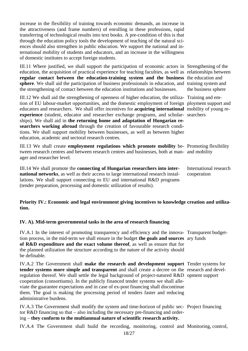increase in the flexibility of training towards economic demands, an increase in the attractiveness (and frame numbers) of enrolling in these professions, rapid transferring of technological results into text books. A pre-condition of this is that through the education policy tools the development of teaching of the natural sciences should also strengthen in public education. We support the national and international mobility of students and educators, and an increase in the willingness of domestic institutes to accept foreign students.

III.11 Where justified, we shall support the participation of economic actors in Strengthening of the education, the acquisition of practical experience for teaching faculties, as well as relationships between regular contact between the education-training system and the business the education and **sphere**. We shall aid the participation of business professionals in education, and training system and the strengthening of contact between the education institutions and businesses.

III.12 We shall aid the strengthening of openness of higher education, the utiliza- Training and emtion of EU labour-market opportunities, and the domestic employment of foreign ployment support and educators and researchers. We shall offer incentives for **acquiring international**  mobility of young reexperience (student, educator and researcher exchange programs, and scholar- searchers ships). We shall aid in **the returning home and adaptation of Hungarian researchers working abroad** through the creation of favourable research conditions. We shall support mobility between businesses, as well as between higher education, academic and sectoral research centres.

III.13 We shall create **employment regulations which promote mobility** be-Promoting flexibility tween research centres and between research centres and businesses, both at man-and mobility ager and researcher level.

III.14 We shall promote the **connecting of Hungarian researchers into international networks**, as well as their access to large international research installations. We shall support connecting to EU and international R&D programs (tender preparation, processing and domestic utilization of results).

the business sphere

International research cooperation

## **Priority IV.: Economic and legal environment giving incentives to knowledge creation and utilization.**

## **IV. A). Mid-term governmental tasks in the area of research financing**

IV.A.1 In the interest of promoting transparency and efficiency and the innova-Transparent budgettion process, in the mid-term we shall ensure in the budget **the goals and sources**  ary funds **of R&D expenditure and the exact volume thereof**, as well as ensure that for the planned utilization the structure according to the nature of the activity should be definable.

IV.A.2 The Government shall **make the research and development support**  Tender systems for **tender systems more simple and transparent** and shall create a decree on the research and develregulation thereof. We shall settle the legal background of project-natured R&D opment support cooperation (consortiums). In the publicly financed tender systems we shall alleviate the guarantee expectations and in case of ex-post financing shall discontinue them. The goal is making the processing period of tenders faster and reducing administrative burdens.

IV.A.3 The Government shall modify the system and time-horizon of public sec-Project financing tor R&D financing so that – also including the necessary pre-financing and ordering – **they conform to the multiannual nature of scientific research activity.**

IV.A.4 The Government shall build the recording, monitoring, control and Monitoring, control,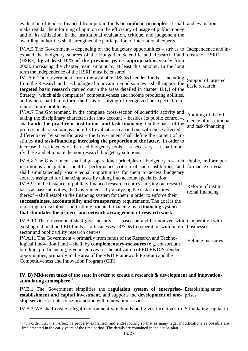evaluation of tenders financed from public funds **on uniform principles**. It shall and evaluation make regular the informing of opinion on the efficiency of usage of public money and of its utilization. In the institutional evaluation, critique, and judgement the awarding authorities shall strengthen the participation of international experts.

IV.A.5 The Government – depending on the budgetary opportunities – strives to Independence and inexpand the budgetary sources of the Hungarian Scientific and Research Fund crease of HSRF (HSRF) **by at least 10% of the previous year's appropriation yearly** from 2008, increasing the chapter main amount by at least this amount. In the long term the independence of the HSRF must be ensured. IV. A.6 The Government, from the available R&D&I tender funds – including Support of targeted

basic research

and task-financing

from the Research and Technological Innovation Fund sources – shall support the **targeted basic research** carried out in the areas detailed in chapter II.1.1 of the Strategy, which aids companies' competitiveness and income producing abilities, and which shall likely form the basis of solving of recognized or expected, current or future problems.

IV.A.7 The Government, in the complete cross-section of scientific activity and taking the disciplinary characteristics into account – besides its public control –, shall **audit the practice of institution- and task-financing**. On the basis of the professional consultations and effect-evaluations carried out with those affected – differentiated by scientific area – the Government shall define the content of institute- **and task-financing, increasing the proportion of the latter**. In order to increase the efficiency of the used budgetary tools – as necessary – it shall modify these and eliminate the non-research budgetary solutions. Auditing of the efficiency of institutional

IV.A.8 The Government shall align operational principles of budgetary research Public, uniform perinstitutions and public scientific performance criteria of such institutions, and formance criteria shall simultaneously ensure equal opportunities for them to access budgetary sources assigned for financing tasks by taking into account specialization. IV.A.9. In the instance of publicly financed research centres carrying out research tasks as basic activities, the Government – by analyzing the task structures thereof – shall establish the financing system for them in order to enforce their **successfulness, accountability and transparency** requirements. The goal is the replacing of discipline- and institute-oriented financing by a **financing system that stimulates the project- and network arrangement of research work**. Reform of institutional financing

IV.A.10 The Government shall give incentives – based on and harmonized with Cooperation with existing national and EU funds – to businesses' R&D&I cooperation with public businesses sector and public utility research centres.

IV.A.11 The Government – primarily from funds of the Research and Technological Innovation Fund – shall, by **complementary-measures** (e.g. consortium building, pre-financing) give incentives for the utilization of EU R&D&I tender opportunities, primarily in the area of the R&D Framework Program and the Competitiveness and Innovation Program (CIP). Helping measures

## **IV. B) Mid-term tasks of the state in order to create a research & development and innovation**stimulating atmosphere<sup>11</sup>

IV.B.1 The Government simplifies the **regulation system of enterprise-**Establishing enter**establishment and capital investment**, and supports the **development of one-**prises **stop services** of enterprise-promotion with innovation services.

IV.B.2 We shall create a legal environment which aids and gives incentives to Stimulating capital in-

<sup>&</sup>lt;sup>11</sup> In order that their effect be properly explained, and endeavouring so that as many legal modifications as possible are implemented in the early years of the time period. The details are contained in the action plan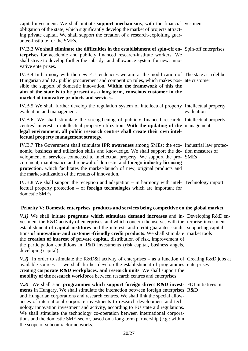capital-investment. We shall initiate **support mechanisms**, with the financial vestment obligation of the state, which significantly develop the market of projects attracting private capital. We shall support the creation of a research-exploiting guarantee-institute for the SMEs.

| IV.B.3 We shall eliminate the difficulties in the establishment of spin-off en- Spin-off enterprises |  |
|------------------------------------------------------------------------------------------------------|--|
| <b>terprises</b> for academic and publicly financed research-institute workers. We                   |  |
| shall strive to develop further the subsidy- and allowance-system for new, inno-                     |  |
| vative enterprises.                                                                                  |  |
|                                                                                                      |  |

IV.B.4 In harmony with the new EU tendencies we aim at the modification of The state as a deliber-Hungarian and EU public procurement and competition rules, which makes pos-ate customer sible the support of domestic innovation. **Within the framework of this the aim of the state is to be present as a long-term, conscious customer in the market of innovative products and services.** 

IV.B.5 We shall further develop the regulation system of intellectual property Intellectual property evaluation and management. evaluation

IV.B.6. We shall stimulate the strengthening of publicly financed research-Intellectual property centres` interest in intellectual property utilization. **With the updating of the**  management **legal environment, all public research centres shall create their own intellectual property management strategy.** 

IV.B.7 The Government shall stimulate **IPR awareness** among SMEs; the eco-Industrial law protecnomic, business and utilization skills and knowledge. We shall support the de-tion measures of velopment of **services** connected to intellectual property. We support the pro-SMEs curement, maintenance and renewal of domestic and foreign **industry licensing protection**, which facilitates the market-launch of new, original products and the market-utilization of the results of innovation.

IV.B.8 We shall support the reception and adaptation – in harmony with intel-Technology import lectual property protection – of **foreign technologies** which are important for domestic SMEs.

## **Priority V: Domestic enterprises, products and services being competitive on the global market**

| V.1) We shall initiate programs which stimulate demand increases and in- Developing R&D en-<br>vestment the R&D activity of enterprises, and which concern themselves with the terprise-investment<br>establishment of <b>capital institutes</b> and the interest- and credit-guarantee condi- supporting capital<br>tions of innovation- and customer-friendly credit products. We shall stimulate market tools<br>the creation of interest of private capital, distribution of risk, improvement of<br>the participation conditions in R&D investments (risk capital, business angels,<br>developing capital).                                              |  |
|---------------------------------------------------------------------------------------------------------------------------------------------------------------------------------------------------------------------------------------------------------------------------------------------------------------------------------------------------------------------------------------------------------------------------------------------------------------------------------------------------------------------------------------------------------------------------------------------------------------------------------------------------------------|--|
| V.2) In order to stimulate the R&D&I activity of enterprises – as a function of Creating R&D jobs at<br>available sources — we shall further develop the establishment of programmes enterprises<br>creating corporate R&D workplaces, and research units. We shall support the<br>mobility of the research workforce between research centres and enterprises.                                                                                                                                                                                                                                                                                               |  |
| V.3) We shall start programmes which support foreign direct R&D invest- FDI initiatives in<br>ments in Hungary. We shall stimulate the interaction between foreign enterprises R&D<br>and Hungarian corporations and research centres. We shall link the special allow-<br>ances of international corporate investments to research-development and tech-<br>nology innovation investment and activity, according to EU state aid regulations.<br>We shall stimulate the technology co-operation between international corpora-<br>tions and the domestic SME-sector, based on a long-term partnership (e.g.: within<br>the scope of subcontractor networks). |  |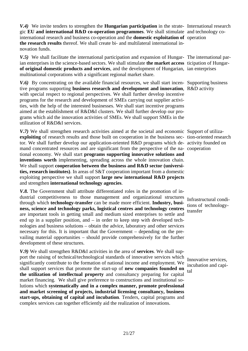*V.4)* We invite tenders to strengthen the **Hungarian participation** in the strate-International research gic **EU and international R&D co-operation programmes**. We shall stimulate and technology cointernational research and business co-operation and the **domestic exploitation of**  operation **the research results** thereof. We shall create bi- and multilateral international innovation funds.

V.5) We shall facilitate the international participation and expansion of Hungar- The international parian enterprises in the science-based sectors. We shall stimulate **the market access**  ticipation of Hungar**of original domestic products and services**, and the development of Hungarian, ian enterprises multinational corporations with a significant regional market share.

V.6) By concentrating on the available financial resources, we shall start incen- Supporting business tive programs supporting **business research and development and innovation**, R&D activity with special respect to regional perspectives. We shall further develop incentive programs for the research and development of SMEs carrying out supplier activities, with the help of the interested businesses. We shall start incentive programs aimed at the establishment of R&D&I clusters. We shall further develop our programs which aid the innovation activities of SMEs. We shall support SMEs in the utilization of R&D&I services.

V.7) We shall strengthen research activities aimed at the societal and economic Support of utilizaexploiting of research results and those built on cooperation in the business sec- tion-oriented research tor. We shall further develop our application-oriented R&D programs which de-activity founded on mand concentrated resources and are significant from the perspective of the na-cooperation tional economy. We shall start **programs supporting innovative solutions and inventions worth** implementing, spreading across the whole innovation chain. We shall support **cooperation between the business and R&D sector (universities, research institutes)**. In areas of S&T cooperation important from a domestic exploiting perspective we shall support **large new international R&D projects** and strengthen **international technology agencies**.

*V.8.* The Government shall attribute differentiated roles in the promotion of industrial competitiveness to those management and organizational structures through which **technology-transfer** can be made more efficient. **Industry, business, science and technology parks, logistical centres and technology centres** are important tools in getting small and medium sized enterprises to settle and end up in a supplier position, and – in order to keep step with developed technologies and business solutions – obtain the advice, laboratory and other services necessary for this. It is important that the Government – depending on the prevailing material opportunities – should provide comprehensively for the further development of these structures.

*V.9)* We shall strengthen R&D&I activities in the area of **services**. We shall support the raising of technical/technological standards of innovative services which significantly contribute to the formation of national income and employment. We shall support services that promote the start-up of **new companies founded on the utilization of intellectual property** and consultancy preparing for capital market financing. We shall give preference to constructions and institutional solutions which **systematically and in a complex manner, promote professional and market screening of projects, industrial licensing consultancy, business start-ups, obtaining of capital and incubation**. Tenders, capital programs and complex services can together efficiently aid the realization of innovations.

Infrastructural conditions of technologytransfer

Innovative services, incubation and capital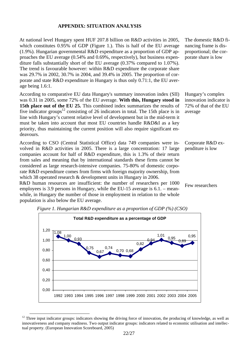#### **APPENDIX: SITUATION ANALYSIS**

At national level Hungary spent HUF 207.8 billion on R&D activities in 2005, which constitutes 0.95% of GDP (Figure 1.). This is half of the EU average (1.9%). Hungarian governmental R&D expenditure as a proportion of GDP approaches the EU average (0.54% and 0.69%, respectively), but business expenditure falls substantially short of the EU average (0.37% compared to 1.07%). The trend is favourable however: within R&D expenditure the corporate share was 29.7% in 2002, 30.7% in 2004, and 39.4% in 2005. The proportion of corporate and state R&D expenditure in Hungary is thus only 0.71:1, the EU average being 1.6:1.

According to comparative EU data Hungary's summary innovation index (SII) was 0.31 in 2005, some 72% of the EU average. **With this, Hungary stood in 15th place out of the EU 25.** This combined index summarizes the results of five indicator groups<sup>12</sup> consisting of 26 indicators in total. The 15th place is in line with Hungary's current relative level of development but in the mid-term it must be taken into account that most EU countries handle R&D&I as a key priority, thus maintaining the current position will also require significant endeavours.

According to CSO (Central Statistical Office) data 749 companies were involved in R&D activities in 2005. There is a large concentration: 17 large companies account for half of R&D expenditure, this is 1.3% of their return from sales and meaning that by international standards these firms cannot be considered as large research-intensive companies. 75-80% of domestic corporate R&D expenditure comes from firms with foreign majority ownership, from which 38 operated research & development units in Hungary in 2006.

R&D human resources are insufficient: the number of researchers per 1000 employees is 3.9 persons in Hungary, while the EU-15 average is 6.1. – meanwhile, in Hungary the number of those in employment in relation to the whole population is also below the EU average.

The domestic R&D financing frame is disproportional; the corporate share is low

Hungary's complex innovation indicator is 72% of that of the EU average

Corporate R&D expenditure is low

Few researchers



*Figure 1. Hungarian R&D expenditure as a proportion of GDP (%) (CSO)* 

 $12$  Three input indicator groups: indicators showing the driving force of innovation, the producing of knowledge, as well as innovativeness and company readiness. Two output indicator groups: indicators related to economic utilisation and intellectual property. (European Innovation Scoreboard, 2005)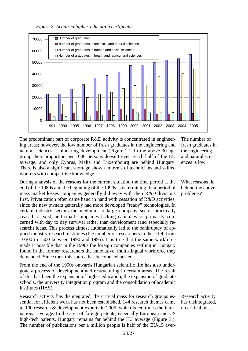



The predominant part of corporate R&D activity is concentrated in engineering areas; however, the low number of fresh graduates in the engineering and natural sciences is hindering development (Figure 2.). In the above-30 age group their proportion per 1000 persons doesn't even reach half of the EU average, and only Cyprus, Malta and Luxembourg are behind Hungary. There is also a significant shortage shown in terms of technicians and skilled workers with competitive knowledge.

During analysis of the reasons for the current situation the time period at the end of the 1980s and the beginning of the 1990s is determining. In a period of mass market losses companies generally did away with their R&D divisions first. Privatization often came hand in hand with cessation of R&D activities, since the new owners generally had more developed "ready" technologies. In certain industry sectors the medium- to large company sector practically ceased to exist, and small companies lacking capital were primarily concerned with day to day survival rather than development (and especially research) ideas. This process almost automatically led to the bankruptcy of applied industry research institutes (the number of researchers in these fell from 10500 to 1500 between 1990 and 1995). It is true that the same workforce made it possible that in the 1990s the foreign companies settling in Hungary found in the former researchers the innovative, multi-lingual workforce they demanded. Since then this source has become exhausted.

From the end of the 1990s onwards Hungarian scientific life has also undergone a process of development and restructuring in certain areas. The result of this has been the expansion of higher education, the expansion of graduate schools, the university integration program and the consolidation of academic institutes (HAS).

Research activity has disintegrated; the critical mass for research groups essential for efficient work has not been established. 144 research themes came to 100 research & development experts in 2005, which is ten times the international average. In the area of foreign patents, especially European and US high-tech patents, Hungary remains far behind the EU average (Figure 3.). The number of publications per a million people is half of the EU-15 averThe number of fresh graduates in the engineering and natural sciences is low

What reasons lie behind the above problems?

Research activity has disintegrated, no critical mass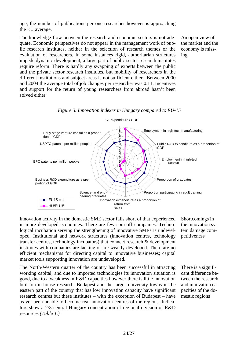age; the number of publications per one researcher however is approaching the EU average.

The knowledge flow between the research and economic sectors is not adequate. Economic perspectives do not appear in the management work of public research institutes, neither in the selection of research themes or the evaluation of researchers. In some instances rigid, authoritarian structures impede dynamic development; a large part of public sector research institutes require reform. There is hardly any swapping of experts between the public and the private sector research institutes, but mobility of researchers in the different institutions and subject areas is not sufficient either. Between 2000 and 2004 the average total of job changes per researcher was 0.11. Incentives and support for the return of young researchers from abroad hasn't been solved either.

An open view of the market and the economy is missing





Innovation activity in the domestic SME sector falls short of that experienced in more developed economies. There are few spin-off companies. Technological incubation serving the strengthening of innovative SMEs is undeveloped. Institutional and network structures (innovation centres, technology transfer centres, technology incubators) that connect research & development institutes with companies are lacking or are weakly developed. There are no efficient mechanisms for directing capital to innovative businesses; capital market tools supporting innovation are undeveloped.

The North-Western quarter of the country has been successful in attracting working capital, and due to imported technologies its innovation situation is good, due to a weakness in R&D capacities however there is little innovation built on in-house research. Budapest and the larger university towns in the eastern part of the country that has low innovation capacity have significant research centres but these institutes – with the exception of Budapest – have as yet been unable to become real innovation centres of the regions. Indicators show a 2/3 central Hungary concentration of regional division of R&D resources *(Table 1.).*

Shortcomings in the innovation system damage competitiveness

There is a significant difference between the research and innovation capacities of the domestic regions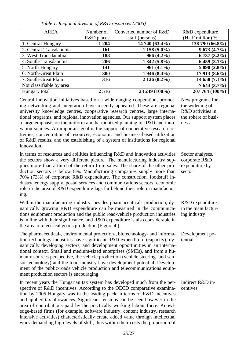| <b>AREA</b>              | Number of  | Converted number of R&D | R&D expenditure |
|--------------------------|------------|-------------------------|-----------------|
|                          | R&D places | staff (persons)         | (HUF million) % |
| 1. Central-Hungary       | 1 204      | 14 740 (63.4%)          | 138 790 (66.8%) |
| 2. Central-Transdanubia  | 161        | $1158(5.0\%)$           | 9673(4.7%)      |
| 3. West-Transdanubia     | 188        | $966(4.2\%)$            | 6 737 (3.2%)    |
| 4. South-Transdanubia    | 206        | $1342(5.8\%)$           | $6459(3.1\%)$   |
| 5. North-Hungary         | 141        | $961(4.1\%)$            | 5 890 (2.8%)    |
| 6. North-Great Plain     | 300        | 1 946 (8.4%)            | 17 913 (8.6%)   |
| 7. South-Great Plain     | 316        | $2126(8.2\%)$           | 14 658 (7.1%)   |
| Not classifiable by area |            |                         | 7644(3.7%)      |
| Hungary total            | 2516       | 23 239 (100%)           | 207 764 (100%)  |

New programs for the widening of R&D activities in the sphere of busi-

Sector analyses, corporate R&D expenditure by

ness

sector

*Table 1. Regional division of R&D resources (2005)*

Central innovation initiatives based on a wide-ranging cooperation, promoting networking and integration have recently appeared. These are regional university knowledge centres, cooperative research centres, large international programs, and regional innovation agencies. Our support system places a large emphasis on the uniform and harmonized planning of R&D and innovation sources. An important goal is the support of cooperative research activities, concentration of resources, economic and business-based utilization of R&D results, and the establishing of a system of institutions for regional innovation.

In terms of resources and abilities influencing R&D and innovation activities the sectors show a very different picture. The manufacturing industry supplies more than a third of the return from sales. The share of the other production sectors is below 8%. Manufacturing companies supply more than 70% (73%) of corporate R&D expenditure. The construction, foodstuff industry, energy supply, postal services and communications sectors' economic role in the area of R&D expenditure lags far behind their role in manufacturing.

Within the manufacturing industry, besides pharmaceuticals production, dynamically growing R&D expenditure can be measured in the communications equipment production and the public road-vehicle production industries is in line with their significance, and R&D expenditure is also considerable in the area of electrical goods production (Figure 4.). R&D expenditure in the manufacturing industry

The pharmaceutical-, environmental protection-, biotechnology- and information technology industries have significant R&D expenditure (capacity), dynamically developing sectors, and development opportunities in an international context. Small and medium-sized enterprises (SMEs), and from a human resources perspective, the vehicle production (vehicle steering- and sensor technology) and the food industry have development potential. Development of the public-roads vehicle production and telecommunications equipment production sectors is encouraging. Development potential

In recent years the Hungarian tax system has developed much from the perspective of R&D incentives. According to the OECD comparative examination by 2005 Hungary was in the leading pack in terms of R&D incentives and applied tax-allowances. Significant tensions can be seen however in the area of contributions paid by the practically working labour force. Knowledge-based firms (for example, software industry, content industry, research intensive activities) characteristically create added value through intellectual work demanding high levels of skill, thus within their costs the proportion of Indirect R&D incentives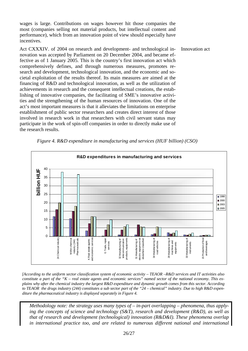wages is large. Contributions on wages however hit those companies the most (companies selling not material products, but intellectual content and performance), which from an innovation point of view should especially have incentives.

Act CXXXIV. of 2004 on research and development- and technological innovation was accepted by Parliament on 20 December 2004, and became effective as of 1 January 2005. This is the country's first innovation act which comprehensively defines, and through numerous measures, promotes research and development, technological innovation, and the economic and societal exploitation of the results thereof. Its main measures are aimed at the financing of R&D and technological innovation, as well as the utilization of achievements in research and the consequent intellectual creations, the establishing of innovative companies, the facilitating of SME's innovative activities and the strengthening of the human resources of innovation. One of the act's most important measures is that it alleviates the limitations on enterprise establishment of public sector researchers and creates direct interest of those involved in research work in that researchers with civil servant status may participate in the work of spin-off companies in order to directly make use of the research results. Innovation act



*Figure 4. R&D expenditure in manufacturing and services (HUF billion) (CSO)* 

*[According to the uniform sector classification system of economic activity – TEAOR –R&D services and IT activities also constitute a part of the "K – real estate agents and economic services" named sector of the national economy. This explains why after the chemical industry the largest R&D expenditure and dynamic growth comes from this sector. According to TEAOR the drugs industry (244) constitutes a sub sector part of the "24 – chemical" industry. Due to high R&D expenditure the pharmaceutical industry is displayed separately in Figure 4.* 

*Methodology note: the strategy uses many types of – in-part overlapping – phenomena, thus applying the concepts of science and technology (S&T), research and development (R&D), as well as that of research and development (technological) innovation (R&D&I). These phenomena overlap in international practice too, and are related to numerous different national and international*